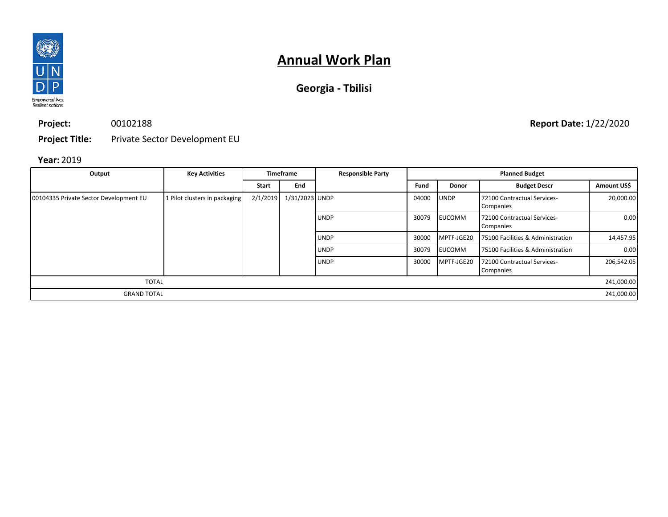

| Georgia - Tbilisi |  |  |
|-------------------|--|--|
|-------------------|--|--|

**Project:** 00102188

**Project Title:** Private Sector Development EU

### **Year:** 2019

| Output                                 | <b>Key Activities</b>         | <b>Timeframe</b> |                |             |       | <b>Responsible Party</b> |                                          |             | <b>Planned Budget</b> |  |
|----------------------------------------|-------------------------------|------------------|----------------|-------------|-------|--------------------------|------------------------------------------|-------------|-----------------------|--|
|                                        |                               | <b>Start</b>     | End            |             | Fund  | <b>Donor</b>             | <b>Budget Descr</b>                      | Amount US\$ |                       |  |
| 00104335 Private Sector Development EU | 1 Pilot clusters in packaging | 2/1/2019         | 1/31/2023 UNDP |             | 04000 | <b>UNDP</b>              | 72100 Contractual Services-<br>Companies | 20,000.00   |                       |  |
|                                        |                               |                  |                | <b>UNDP</b> | 30079 | <b>EUCOMM</b>            | 72100 Contractual Services-<br>Companies | 0.00        |                       |  |
|                                        |                               |                  |                | <b>UNDP</b> | 30000 | MPTF-JGE20               | 75100 Facilities & Administration        | 14,457.95   |                       |  |
|                                        |                               |                  |                | <b>UNDP</b> | 30079 | <b>EUCOMM</b>            | 75100 Facilities & Administration        | 0.00        |                       |  |
|                                        |                               |                  |                | <b>UNDP</b> | 30000 | MPTF-JGE20               | 72100 Contractual Services-<br>Companies | 206,542.05  |                       |  |
| <b>TOTAL</b>                           |                               |                  |                |             |       |                          |                                          | 241,000.00  |                       |  |
| <b>GRAND TOTAL</b>                     |                               |                  |                |             |       |                          |                                          | 241,000.00  |                       |  |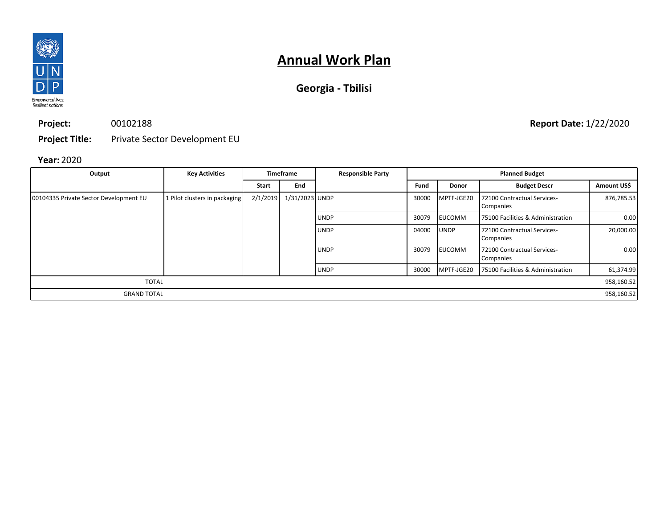

| Georgia - Tbilisi |  |  |
|-------------------|--|--|
|-------------------|--|--|

**Project:** 00102188

**Project Title:** Private Sector Development EU

### **Year:** 2020

| Output                                 | <b>Key Activities</b>         | <b>Timeframe</b> |                |             |       | <b>Responsible Party</b> |                                          |             | <b>Planned Budget</b> |  |
|----------------------------------------|-------------------------------|------------------|----------------|-------------|-------|--------------------------|------------------------------------------|-------------|-----------------------|--|
|                                        |                               | <b>Start</b>     | End            |             | Fund  | <b>Donor</b>             | <b>Budget Descr</b>                      | Amount US\$ |                       |  |
| 00104335 Private Sector Development EU | 1 Pilot clusters in packaging | 2/1/2019         | 1/31/2023 UNDP |             | 30000 | MPTF-JGE20               | 72100 Contractual Services-<br>Companies | 876,785.53  |                       |  |
|                                        |                               |                  |                | <b>UNDP</b> | 30079 | <b>EUCOMM</b>            | 75100 Facilities & Administration        | 0.00        |                       |  |
|                                        |                               |                  |                | <b>UNDP</b> | 04000 | <b>UNDP</b>              | 72100 Contractual Services-<br>Companies | 20,000.00   |                       |  |
|                                        |                               |                  |                | <b>UNDP</b> | 30079 | <b>EUCOMM</b>            | 72100 Contractual Services-<br>Companies | 0.00        |                       |  |
|                                        |                               |                  |                | <b>UNDP</b> | 30000 | MPTF-JGE20               | 75100 Facilities & Administration        | 61,374.99   |                       |  |
| <b>TOTAL</b>                           |                               |                  |                |             |       |                          |                                          | 958,160.52  |                       |  |
| <b>GRAND TOTAL</b>                     |                               |                  |                |             |       |                          |                                          | 958,160.52  |                       |  |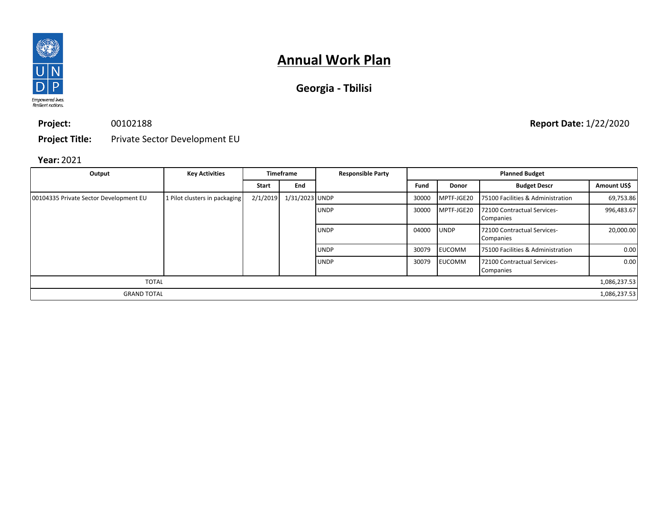

| Georgia - Tbilisi |  |  |
|-------------------|--|--|
|-------------------|--|--|

**Project:** 00102188

**Project Title:** Private Sector Development EU

### **Year:** 2021

| Output                                 | <b>Key Activities</b>         | <b>Timeframe</b> |                | <b>Responsible Party</b> |       |               | <b>Planned Budget</b>                    |              |
|----------------------------------------|-------------------------------|------------------|----------------|--------------------------|-------|---------------|------------------------------------------|--------------|
|                                        |                               | <b>Start</b>     | End            |                          | Fund  | <b>Donor</b>  | <b>Budget Descr</b>                      | Amount US\$  |
| 00104335 Private Sector Development EU | 1 Pilot clusters in packaging | 2/1/2019         | 1/31/2023 UNDP |                          | 30000 | MPTF-JGE20    | 75100 Facilities & Administration        | 69,753.86    |
|                                        |                               |                  |                | <b>UNDP</b>              | 30000 | MPTF-JGE20    | 72100 Contractual Services-<br>Companies | 996,483.67   |
|                                        |                               |                  |                | <b>UNDP</b>              | 04000 | <b>UNDP</b>   | 72100 Contractual Services-<br>Companies | 20,000.00    |
|                                        |                               |                  |                | <b>UNDP</b>              | 30079 | <b>EUCOMM</b> | 75100 Facilities & Administration        | 0.00         |
|                                        |                               |                  |                | <b>UNDP</b>              | 30079 | <b>EUCOMM</b> | 72100 Contractual Services-<br>Companies | 0.00         |
| <b>TOTAL</b>                           |                               |                  |                |                          |       |               |                                          | 1,086,237.53 |
| <b>GRAND TOTAL</b>                     |                               |                  |                |                          |       |               |                                          | 1,086,237.53 |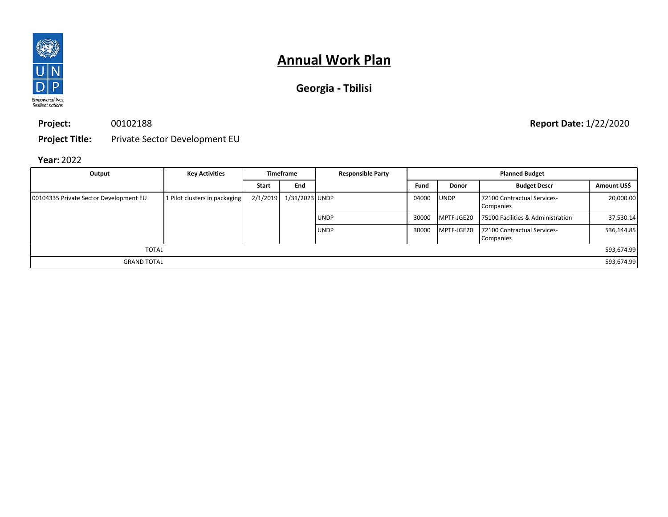

| Georgia - Tbilisi |  |  |
|-------------------|--|--|
|-------------------|--|--|

**Project:** 00102188

**Project Title:** Private Sector Development EU

## **Year:** 2022

| Output                                 | <b>Key Activities</b>         | <b>Timeframe</b> |                | <b>Responsible Party</b> |       | <b>Planned Budget</b> |                                          |             |
|----------------------------------------|-------------------------------|------------------|----------------|--------------------------|-------|-----------------------|------------------------------------------|-------------|
|                                        |                               | <b>Start</b>     | End            |                          | Fund  | <b>Donor</b>          | <b>Budget Descr</b>                      | Amount US\$ |
| 00104335 Private Sector Development EU | 1 Pilot clusters in packaging | 2/1/2019         | 1/31/2023 UNDP |                          | 04000 | <b>UNDP</b>           | 72100 Contractual Services-<br>Companies | 20,000.00   |
|                                        |                               |                  |                | <b>UNDP</b>              | 30000 | MPTF-JGE20            | 75100 Facilities & Administration        | 37,530.14   |
|                                        |                               |                  |                | <b>UNDP</b>              | 30000 | MPTF-JGE20            | 72100 Contractual Services-<br>Companies | 536,144.85  |
| <b>TOTAL</b>                           |                               |                  |                |                          |       |                       |                                          | 593,674.99  |
| <b>GRAND TOTAL</b>                     |                               |                  |                |                          |       |                       |                                          | 593,674.99  |